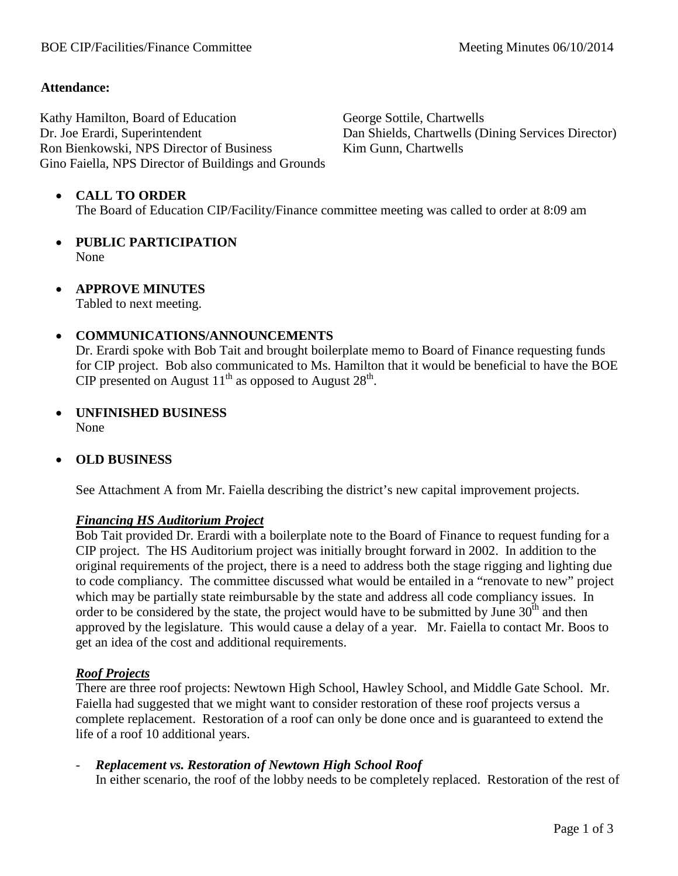## **Attendance:**

Kathy Hamilton, Board of Education Dr. Joe Erardi, Superintendent Ron Bienkowski, NPS Director of Business Gino Faiella, NPS Director of Buildings and Grounds George Sottile, Chartwells Dan Shields, Chartwells (Dining Services Director) Kim Gunn, Chartwells

## • **CALL TO ORDER**

The Board of Education CIP/Facility/Finance committee meeting was called to order at 8:09 am

- **PUBLIC PARTICIPATION** None
- **APPROVE MINUTES**

Tabled to next meeting.

## • **COMMUNICATIONS/ANNOUNCEMENTS**

Dr. Erardi spoke with Bob Tait and brought boilerplate memo to Board of Finance requesting funds for CIP project. Bob also communicated to Ms. Hamilton that it would be beneficial to have the BOE CIP presented on August  $11<sup>th</sup>$  as opposed to August  $28<sup>th</sup>$ .

• **UNFINISHED BUSINESS** None

#### • **OLD BUSINESS**

See Attachment A from Mr. Faiella describing the district's new capital improvement projects.

#### *Financing HS Auditorium Project*

Bob Tait provided Dr. Erardi with a boilerplate note to the Board of Finance to request funding for a CIP project. The HS Auditorium project was initially brought forward in 2002. In addition to the original requirements of the project, there is a need to address both the stage rigging and lighting due to code compliancy. The committee discussed what would be entailed in a "renovate to new" project which may be partially state reimbursable by the state and address all code compliancy issues. In order to be considered by the state, the project would have to be submitted by June  $30<sup>th</sup>$  and then approved by the legislature. This would cause a delay of a year. Mr. Faiella to contact Mr. Boos to get an idea of the cost and additional requirements.

#### *Roof Projects*

There are three roof projects: Newtown High School, Hawley School, and Middle Gate School. Mr. Faiella had suggested that we might want to consider restoration of these roof projects versus a complete replacement. Restoration of a roof can only be done once and is guaranteed to extend the life of a roof 10 additional years.

- *Replacement vs. Restoration of Newtown High School Roof* In either scenario, the roof of the lobby needs to be completely replaced. Restoration of the rest of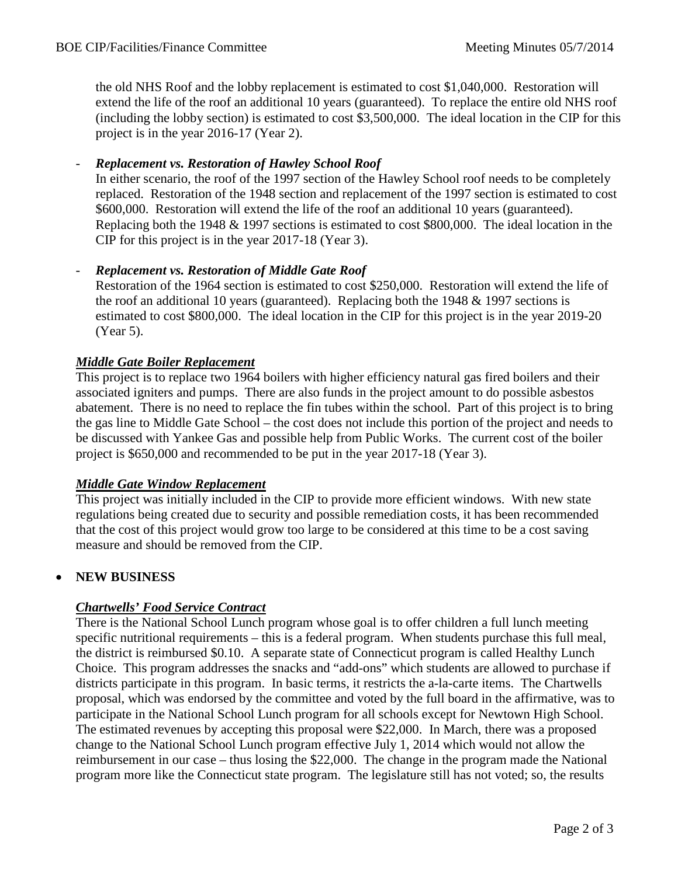the old NHS Roof and the lobby replacement is estimated to cost \$1,040,000. Restoration will extend the life of the roof an additional 10 years (guaranteed). To replace the entire old NHS roof (including the lobby section) is estimated to cost \$3,500,000. The ideal location in the CIP for this project is in the year 2016-17 (Year 2).

## - *Replacement vs. Restoration of Hawley School Roof*

In either scenario, the roof of the 1997 section of the Hawley School roof needs to be completely replaced. Restoration of the 1948 section and replacement of the 1997 section is estimated to cost \$600,000. Restoration will extend the life of the roof an additional 10 years (guaranteed). Replacing both the 1948 & 1997 sections is estimated to cost \$800,000. The ideal location in the CIP for this project is in the year 2017-18 (Year 3).

## - *Replacement vs. Restoration of Middle Gate Roof*

Restoration of the 1964 section is estimated to cost \$250,000. Restoration will extend the life of the roof an additional 10 years (guaranteed). Replacing both the 1948 & 1997 sections is estimated to cost \$800,000. The ideal location in the CIP for this project is in the year 2019-20 (Year 5).

#### *Middle Gate Boiler Replacement*

This project is to replace two 1964 boilers with higher efficiency natural gas fired boilers and their associated igniters and pumps. There are also funds in the project amount to do possible asbestos abatement. There is no need to replace the fin tubes within the school. Part of this project is to bring the gas line to Middle Gate School – the cost does not include this portion of the project and needs to be discussed with Yankee Gas and possible help from Public Works. The current cost of the boiler project is \$650,000 and recommended to be put in the year 2017-18 (Year 3).

#### *Middle Gate Window Replacement*

This project was initially included in the CIP to provide more efficient windows. With new state regulations being created due to security and possible remediation costs, it has been recommended that the cost of this project would grow too large to be considered at this time to be a cost saving measure and should be removed from the CIP.

# • **NEW BUSINESS**

# *Chartwells' Food Service Contract*

There is the National School Lunch program whose goal is to offer children a full lunch meeting specific nutritional requirements – this is a federal program. When students purchase this full meal, the district is reimbursed \$0.10. A separate state of Connecticut program is called Healthy Lunch Choice. This program addresses the snacks and "add-ons" which students are allowed to purchase if districts participate in this program. In basic terms, it restricts the a-la-carte items. The Chartwells proposal, which was endorsed by the committee and voted by the full board in the affirmative, was to participate in the National School Lunch program for all schools except for Newtown High School. The estimated revenues by accepting this proposal were \$22,000. In March, there was a proposed change to the National School Lunch program effective July 1, 2014 which would not allow the reimbursement in our case – thus losing the \$22,000. The change in the program made the National program more like the Connecticut state program. The legislature still has not voted; so, the results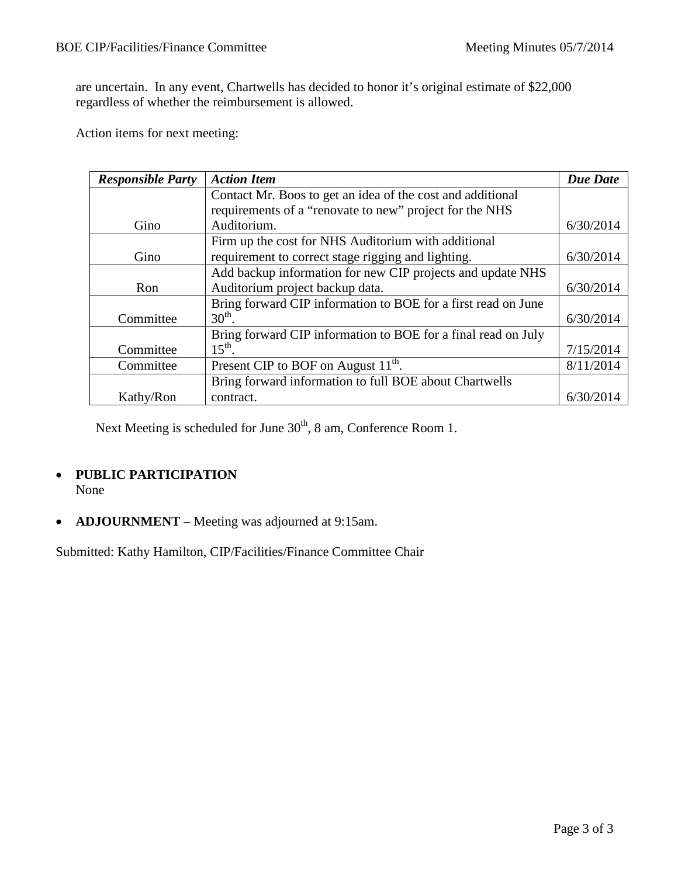are uncertain. In any event, Chartwells has decided to honor it's original estimate of \$22,000 regardless of whether the reimbursement is allowed.

Action items for next meeting:

| <b>Responsible Party</b> | <b>Action Item</b>                                            | <b>Due Date</b> |
|--------------------------|---------------------------------------------------------------|-----------------|
|                          | Contact Mr. Boos to get an idea of the cost and additional    |                 |
|                          | requirements of a "renovate to new" project for the NHS       |                 |
| Gino                     | Auditorium.                                                   | 6/30/2014       |
|                          | Firm up the cost for NHS Auditorium with additional           |                 |
| Gino                     | requirement to correct stage rigging and lighting.            | 6/30/2014       |
|                          | Add backup information for new CIP projects and update NHS    |                 |
| Ron                      | Auditorium project backup data.                               | 6/30/2014       |
|                          | Bring forward CIP information to BOE for a first read on June |                 |
| Committee                | $30th$ .                                                      | 6/30/2014       |
|                          | Bring forward CIP information to BOE for a final read on July |                 |
| Committee                | $15^{\text{th}}$ .                                            | 7/15/2014       |
| Committee                | Present CIP to BOF on August 11 <sup>th</sup> .               | 8/11/2014       |
|                          | Bring forward information to full BOE about Chartwells        |                 |
| Kathy/Ron                | contract.                                                     | 6/30/2014       |

Next Meeting is scheduled for June 30<sup>th</sup>, 8 am, Conference Room 1.

# • **PUBLIC PARTICIPATION**

None

• **ADJOURNMENT** – Meeting was adjourned at 9:15am.

Submitted: Kathy Hamilton, CIP/Facilities/Finance Committee Chair